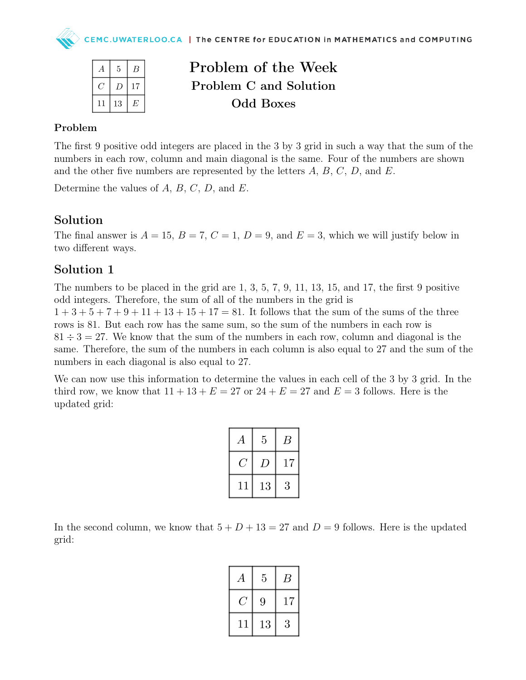| А   | 5  | B  |
|-----|----|----|
| C ' | D  | 17 |
| 11  | 13 | E  |

Problem of the Week Problem C and Solution Odd Boxes

#### Problem

The first 9 positive odd integers are placed in the 3 by 3 grid in such a way that the sum of the numbers in each row, column and main diagonal is the same. Four of the numbers are shown and the other five numbers are represented by the letters  $A, B, C, D$ , and  $E$ .

Determine the values of  $A, B, C, D$ , and  $E$ .

## Solution

The final answer is  $A = 15$ ,  $B = 7$ ,  $C = 1$ ,  $D = 9$ , and  $E = 3$ , which we will justify below in two different ways.

## Solution 1

The numbers to be placed in the grid are 1, 3, 5, 7, 9, 11, 13, 15, and 17, the first 9 positive odd integers. Therefore, the sum of all of the numbers in the grid is  $1+3+5+7+9+11+13+15+17=81$ . It follows that the sum of the sums of the three rows is 81. But each row has the same sum, so the sum of the numbers in each row is  $81 \div 3 = 27$ . We know that the sum of the numbers in each row, column and diagonal is the same. Therefore, the sum of the numbers in each column is also equal to 27 and the sum of the numbers in each diagonal is also equal to 27.

We can now use this information to determine the values in each cell of the 3 by 3 grid. In the third row, we know that  $11 + 13 + E = 27$  or  $24 + E = 27$  and  $E = 3$  follows. Here is the updated grid:

| А  | 5  | В  |
|----|----|----|
|    | 1) | 17 |
| 11 | 13 | 3  |

In the second column, we know that  $5 + D + 13 = 27$  and  $D = 9$  follows. Here is the updated grid:

| А  | 5  | В  |
|----|----|----|
|    | 9  | 17 |
| 11 | 13 | 3  |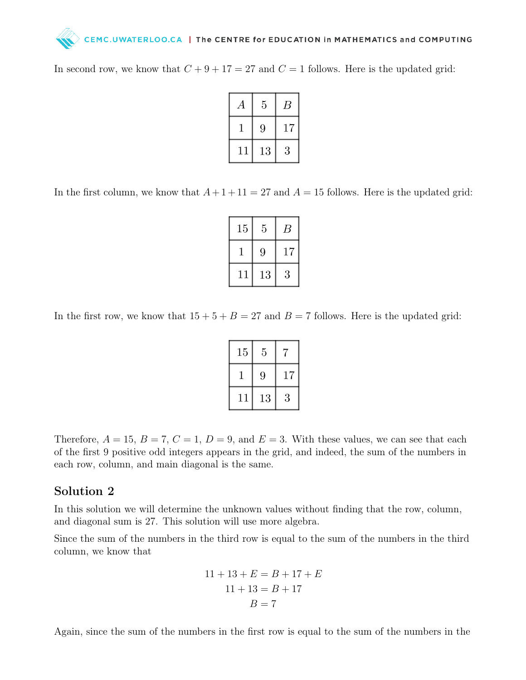# CEMC.UWATERLOO.CA | The CENTRE for EDUCATION in MATHEMATICS and COMPUTING

In second row, we know that  $C + 9 + 17 = 27$  and  $C = 1$  follows. Here is the updated grid:

| А  | 5  | В  |
|----|----|----|
|    | 9  | 17 |
| 11 | 13 | 3  |

In the first column, we know that  $A+1+11=27$  and  $A=15$  follows. Here is the updated grid:

| 15 | 5  | B  |
|----|----|----|
|    | 9  | 17 |
| 11 | 13 | 3  |

In the first row, we know that  $15 + 5 + B = 27$  and  $B = 7$  follows. Here is the updated grid:

| 15 | 5  |    |
|----|----|----|
|    | 9  | 17 |
| 11 | 13 | 3  |

Therefore,  $A = 15$ ,  $B = 7$ ,  $C = 1$ ,  $D = 9$ , and  $E = 3$ . With these values, we can see that each of the first 9 positive odd integers appears in the grid, and indeed, the sum of the numbers in each row, column, and main diagonal is the same.

#### Solution 2

In this solution we will determine the unknown values without finding that the row, column, and diagonal sum is 27. This solution will use more algebra.

Since the sum of the numbers in the third row is equal to the sum of the numbers in the third column, we know that

$$
11 + 13 + E = B + 17 + E
$$

$$
11 + 13 = B + 17
$$

$$
B = 7
$$

Again, since the sum of the numbers in the first row is equal to the sum of the numbers in the